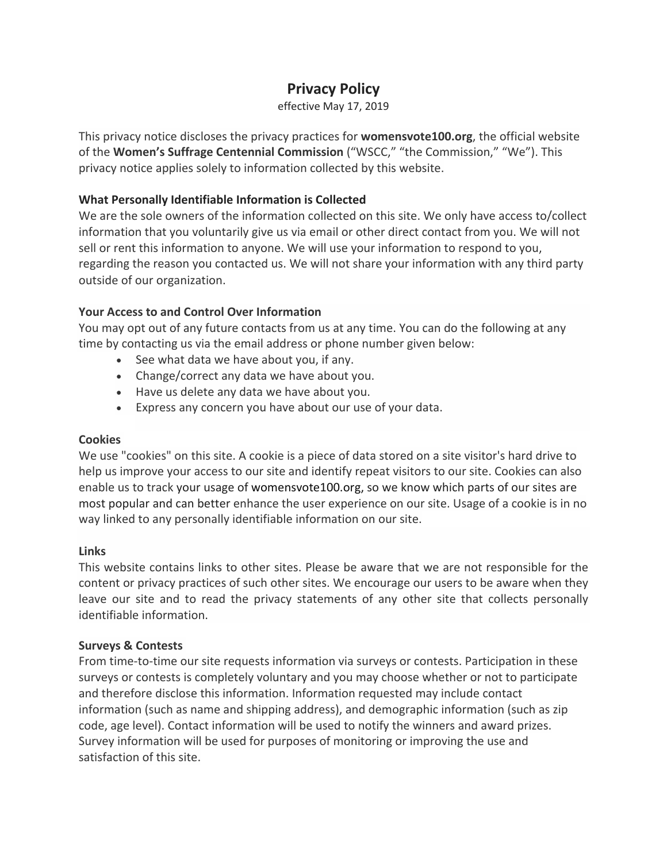# **Privacy Policy**

effective May 17, 2019

This privacy notice discloses the privacy practices for **womensvote100.org**, the official website of the **Women's Suffrage Centennial Commission** ("WSCC," "the Commission," "We"). This privacy notice applies solely to information collected by this website.

# **What Personally Identifiable Information is Collected**

We are the sole owners of the information collected on this site. We only have access to/collect information that you voluntarily give us via email or other direct contact from you. We will not sell or rent this information to anyone. We will use your information to respond to you, regarding the reason you contacted us. We will not share your information with any third party outside of our organization.

# **Your Access to and Control Over Information**

You may opt out of any future contacts from us at any time. You can do the following at any time by contacting us via the email address or phone number given below:

- See what data we have about you, if any.
- Change/correct any data we have about you.
- Have us delete any data we have about you.
- Express any concern you have about our use of your data.

## **Cookies**

We use "cookies" on this site. A cookie is a piece of data stored on a site visitor's hard drive to help us improve your access to our site and identify repeat visitors to our site. Cookies can also enable us to track your usage of womensvote100.org, so we know which parts of our sites are most popular and can better enhance the user experience on our site. Usage of a cookie is in no way linked to any personally identifiable information on our site.

## **Links**

This website contains links to other sites. Please be aware that we are not responsible for the content or privacy practices of such other sites. We encourage our users to be aware when they leave our site and to read the privacy statements of any other site that collects personally identifiable information.

## **Surveys & Contests**

From time-to-time our site requests information via surveys or contests. Participation in these surveys or contests is completely voluntary and you may choose whether or not to participate and therefore disclose this information. Information requested may include contact information (such as name and shipping address), and demographic information (such as zip code, age level). Contact information will be used to notify the winners and award prizes. Survey information will be used for purposes of monitoring or improving the use and satisfaction of this site.